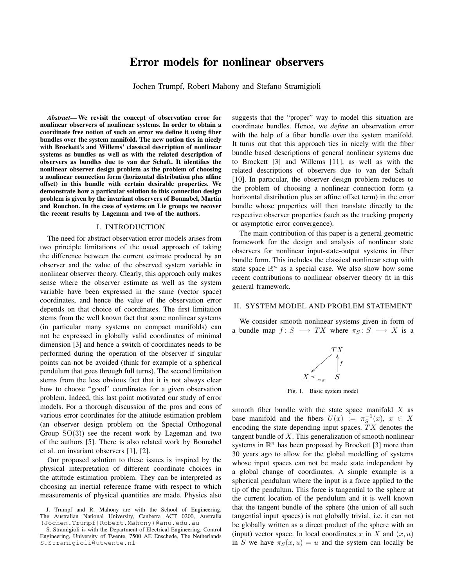# Error models for nonlinear observers

Jochen Trumpf, Robert Mahony and Stefano Stramigioli

*Abstract*— We revisit the concept of observation error for nonlinear observers of nonlinear systems. In order to obtain a coordinate free notion of such an error we define it using fiber bundles over the system manifold. The new notion ties in nicely with Brockett's and Willems' classical description of nonlinear systems as bundles as well as with the related description of observers as bundles due to van der Schaft. It identifies the nonlinear observer design problem as the problem of choosing a nonlinear connection form (horizontal distribution plus affine offset) in this bundle with certain desirable properties. We demonstrate how a particular solution to this connection design problem is given by the invariant observers of Bonnabel, Martin and Rouchon. In the case of systems on Lie groups we recover the recent results by Lageman and two of the authors.

### I. INTRODUCTION

The need for abstract observation error models arises from two principle limitations of the usual approach of taking the difference between the current estimate produced by an observer and the value of the observed system variable in nonlinear observer theory. Clearly, this approach only makes sense where the observer estimate as well as the system variable have been expressed in the same (vector space) coordinates, and hence the value of the observation error depends on that choice of coordinates. The first limitation stems from the well known fact that some nonlinear systems (in particular many systems on compact manifolds) can not be expressed in globally valid coordinates of minimal dimension [3] and hence a switch of coordinates needs to be performed during the operation of the observer if singular points can not be avoided (think for example of a spherical pendulum that goes through full turns). The second limitation stems from the less obvious fact that it is not always clear how to choose "good" coordinates for a given observation problem. Indeed, this last point motivated our study of error models. For a thorough discussion of the pros and cons of various error coordinates for the attitude estimation problem (an observer design problem on the Special Orthogonal Group  $SO(3)$ ) see the recent work by Lageman and two of the authors [5]. There is also related work by Bonnabel et al. on invariant observers [1], [2].

Our proposed solution to these issues is inspired by the physical interpretation of different coordinate choices in the attitude estimation problem. They can be interpreted as choosing an inertial reference frame with respect to which measurements of physical quantities are made. Physics also

suggests that the "proper" way to model this situation are coordinate bundles. Hence, we *define* an observation error with the help of a fiber bundle over the system manifold. It turns out that this approach ties in nicely with the fiber bundle based descriptions of general nonlinear systems due to Brockett [3] and Willems [11], as well as with the related descriptions of observers due to van der Schaft [10]. In particular, the observer design problem reduces to the problem of choosing a nonlinear connection form (a horizontal distribution plus an affine offset term) in the error bundle whose properties will then translate directly to the respective observer properties (such as the tracking property or asymptotic error convergence).

The main contribution of this paper is a general geometric framework for the design and analysis of nonlinear state observers for nonlinear input-state-output systems in fiber bundle form. This includes the classical nonlinear setup with state space  $\mathbb{R}^n$  as a special case. We also show how some recent contributions to nonlinear observer theory fit in this general framework.

## II. SYSTEM MODEL AND PROBLEM STATEMENT

We consider smooth nonlinear systems given in form of a bundle map  $f: S \longrightarrow TX$  where  $\pi_S: S \longrightarrow X$  is a



Fig. 1. Basic system model

smooth fiber bundle with the state space manifold  $X$  as base manifold and the fibers  $U(x) := \pi_S^{-1}(x)$ ,  $x \in X$ encoding the state depending input spaces.  $TX$  denotes the tangent bundle of  $X$ . This generalization of smooth nonlinear systems in  $\mathbb{R}^n$  has been proposed by Brockett [3] more than 30 years ago to allow for the global modelling of systems whose input spaces can not be made state independent by a global change of coordinates. A simple example is a spherical pendulum where the input is a force applied to the tip of the pendulum. This force is tangential to the sphere at the current location of the pendulum and it is well known that the tangent bundle of the sphere (the union of all such tangential input spaces) is not globally trivial, i.e. it can not be globally written as a direct product of the sphere with an (input) vector space. In local coordinates x in X and  $(x, u)$ in S we have  $\pi_S(x, u) = u$  and the system can locally be

J. Trumpf and R. Mahony are with the School of Engineering, The Australian National University, Canberra ACT 0200, Australia (Jochen.Trumpf|Robert.Mahony)@anu.edu.au

S. Stramigioli is with the Department of Electrical Engineering, Control Engineering, University of Twente, 7500 AE Enschede, The Netherlands S.Stramigioli@utwente.nl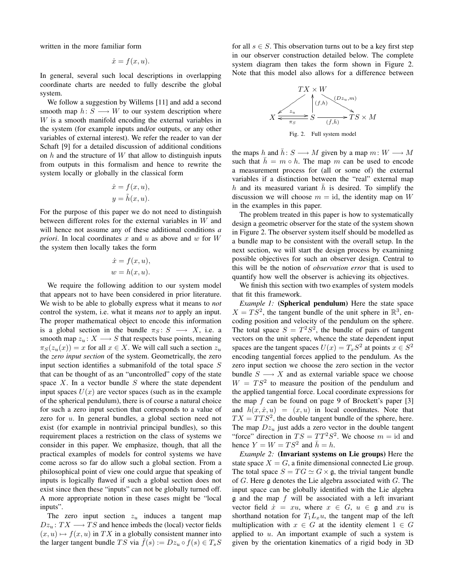written in the more familiar form

$$
\dot{x} = f(x, u).
$$

In general, several such local descriptions in overlapping coordinate charts are needed to fully describe the global system.

We follow a suggestion by Willems [11] and add a second smooth map  $h: S \longrightarrow W$  to our system description where W is a smooth manifold encoding the external variables in the system (for example inputs and/or outputs, or any other variables of external interest). We refer the reader to van der Schaft [9] for a detailed discussion of additional conditions on  $h$  and the structure of  $W$  that allow to distinguish inputs from outputs in this formalism and hence to rewrite the system locally or globally in the classical form

$$
\dot{x} = f(x, u),
$$
  

$$
y = \tilde{h}(x, u).
$$

For the purpose of this paper we do not need to distinguish between different roles for the external variables in W and will hence not assume any of these additional conditions *a priori*. In local coordinates x and u as above and w for  $W$ the system then locally takes the form

$$
\dot{x} = f(x, u),
$$
  

$$
w = h(x, u).
$$

We require the following addition to our system model that appears not to have been considered in prior literature. We wish to be able to globally express what it means to *not* control the system, i.e. what it means *not* to apply an input. The proper mathematical object to encode this information is a global section in the bundle  $\pi_S : S \longrightarrow X$ , i.e. a smooth map  $z_u: X \longrightarrow S$  that respects base points, meaning  $\pi_S(z_u(x)) = x$  for all  $x \in X$ . We will call such a section  $z_u$ the *zero input section* of the system. Geometrically, the zero input section identifies a submanifold of the total space  $S$ that can be thought of as an "uncontrolled" copy of the state space  $X$ . In a vector bundle  $S$  where the state dependent input spaces  $U(x)$  are vector spaces (such as in the example of the spherical pendulum), there is of course a natural choice for such a zero input section that corresponds to a value of zero for u. In general bundles, a global section need not exist (for example in nontrivial principal bundles), so this requirement places a restriction on the class of systems we consider in this paper. We emphasize, though, that all the practical examples of models for control systems we have come across so far do allow such a global section. From a philosophical point of view one could argue that speaking of inputs is logically flawed if such a global section does not exist since then these "inputs" can not be globally turned off. A more appropriate notion in these cases might be "local inputs".

The zero input section  $z_u$  induces a tangent map  $Dz_u$ :  $TX \longrightarrow TS$  and hence imbeds the (local) vector fields  $(x, u) \mapsto f(x, u)$  in TX in a globally consistent manner into the larger tangent bundle TS via  $\bar{f}(s) := Dz_u \circ f(s) \in T_sS$  for all  $s \in S$ . This observation turns out to be a key first step in our observer construction detailed below. The complete system diagram then takes the form shown in Figure 2. Note that this model also allows for a difference between



Fig. 2. Full system model

the maps h and  $\bar{h}$ : S  $\longrightarrow M$  given by a map  $m: W \longrightarrow M$ such that  $\bar{h} = m \circ h$ . The map m can be used to encode a measurement process for (all or some of) the external variables if a distinction between the "real" external map h and its measured variant h is desired. To simplify the discussion we will choose  $m = id$ , the identity map on W in the examples in this paper.

The problem treated in this paper is how to systematically design a geometric observer for the state of the system shown in Figure 2. The observer system itself should be modelled as a bundle map to be consistent with the overall setup. In the next section, we will start the design process by examining possible objectives for such an observer design. Central to this will be the notion of *observation error* that is used to quantify how well the observer is achieving its objectives.

We finish this section with two examples of system models that fit this framework.

*Example 1:* (Spherical pendulum) Here the state space  $X = TS^2$ , the tangent bundle of the unit sphere in  $\mathbb{R}^3$ , encoding position and velocity of the pendulum on the sphere. The total space  $S = T^2S^2$ , the bundle of pairs of tangent vectors on the unit sphere, whence the state dependent input spaces are the tangent spaces  $U(x) = T_x S^2$  at points  $x \in S^2$ encoding tangential forces applied to the pendulum. As the zero input section we choose the zero section in the vector bundle  $S \longrightarrow X$  and as external variable space we choose  $W = TS<sup>2</sup>$  to measure the position of the pendulum and the applied tangential force. Local coordinate expressions for the map f can be found on page 9 of Brockett's paper  $[3]$ and  $h(x, \dot{x}, u) = (x, u)$  in local coordinates. Note that  $TX = TTS^2$ , the double tangent bundle of the sphere, here. The map  $Dz_u$  just adds a zero vector in the double tangent "force" direction in  $TS = TT^2S^2$ . We choose  $m = id$  and hence  $Y = W = TS^2$  and  $\bar{h} = h$ .

*Example 2:* (Invariant systems on Lie groups) Here the state space  $X = G$ , a finite dimensional connected Lie group. The total space  $S = TG \simeq G \times \mathfrak{g}$ , the trivial tangent bundle of  $G$ . Here  $\mathfrak g$  denotes the Lie algebra associated with  $G$ . The input space can be globally identified with the Lie algebra  $\alpha$  and the map f will be associated with a left invariant vector field  $\dot{x} = xu$ , where  $x \in G$ ,  $u \in \mathfrak{g}$  and  $xu$  is shorthand notation for  $T_1L_xu$ , the tangent map of the left multiplication with  $x \in G$  at the identity element  $1 \in G$ applied to  $u$ . An important example of such a system is given by the orientation kinematics of a rigid body in 3D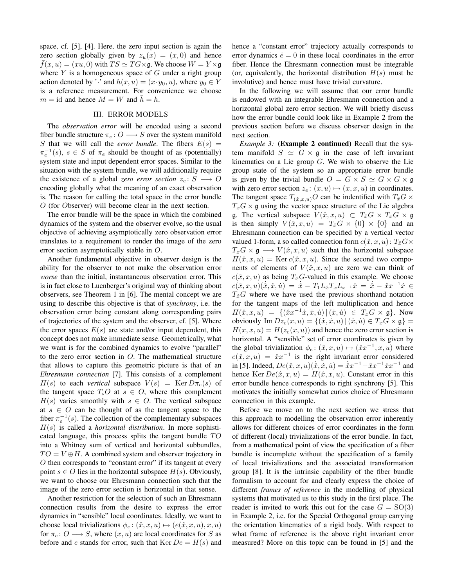space, cf. [5], [4]. Here, the zero input section is again the zero section globally given by  $z_u(x) = (x, 0)$  and hence  $\overline{f}(x, u) = (xu, 0)$  with  $TS \simeq TG \times \mathfrak{g}$ . We choose  $W = Y \times \mathfrak{g}$ where  $Y$  is a homogeneous space of  $G$  under a right group action denoted by '' and  $h(x, u) = (x \cdot y_0, u)$ , where  $y_0 \in Y$ is a reference measurement. For convenience we choose  $m = id$  and hence  $M = W$  and  $h = h$ .

# III. ERROR MODELS

The *observation error* will be encoded using a second fiber bundle structure  $\pi_e: O \longrightarrow S$  over the system manifold S that we will call the *error bundle*. The fibers  $E(s)$  =  $\pi_e^{-1}(s)$ ,  $s \in S$  of  $\pi_e$  should be thought of as (potentially) system state and input dependent error spaces. Similar to the situation with the system bundle, we will additionally require the existence of a global *zero error section*  $z_e: S \longrightarrow O$ encoding globally what the meaning of an exact observation is. The reason for calling the total space in the error bundle O (for Observer) will become clear in the next section.

The error bundle will be the space in which the combined dynamics of the system and the observer evolve, so the usual objective of achieving asymptotically zero observation error translates to a requirement to render the image of the zero error section asymptotically stable in O.

Another fundamental objective in observer design is the ability for the observer to not make the observation error *worse* than the initial, instantaneous observation error. This is in fact close to Luenberger's original way of thinking about observers, see Theorem 1 in [6]. The mental concept we are using to describe this objective is that of *synchrony*, i.e. the observation error being constant along corresponding pairs of trajectories of the system and the observer, cf. [5]. Where the error spaces  $E(s)$  are state and/or input dependent, this concept does not make immediate sense. Geometrically, what we want is for the combined dynamics to evolve "parallel" to the zero error section in O. The mathematical structure that allows to capture this geometric picture is that of an *Ehresmann connection* [7]. This consists of a complement  $H(s)$  to each *vertical* subspace  $V(s) = \text{Ker } D \pi_e(s)$  of the tangent space  $T<sub>s</sub>O$  at  $s \in O$ , where this complement  $H(s)$  varies smoothly with  $s \in O$ . The vertical subspace at  $s \in O$  can be thought of as the tangent space to the fiber  $\pi_e^{-1}(s)$ . The collection of the complementary subspaces H(s) is called a *horizontal distribution*. In more sophisticated language, this process splits the tangent bundle  $TO$ into a Whitney sum of vertical and horizontal subbundles,  $TO = V \oplus H$ . A combined system and observer trajectory in O then corresponds to "constant error" if its tangent at every point  $s \in O$  lies in the horizontal subspace  $H(s)$ . Obviously, we want to choose our Ehresmann connection such that the image of the zero error section is horizontal in that sense.

Another restriction for the selection of such an Ehresmann connection results from the desire to express the error dynamics in "sensible" local coordinates. Ideally, we want to choose local trivializations  $\phi_e: (\hat{x}, x, u) \mapsto (e(\hat{x}, x, u), x, u)$ for  $\pi_e: O \longrightarrow S$ , where  $(x, u)$  are local coordinates for S as before and e stands for error, such that  $Ker De = H(s)$  and hence a "constant error" trajectory actually corresponds to error dynamics  $\dot{e} = 0$  in these local coordinates in the error fiber. Hence the Ehresmann connection must be integrable (or, equivalently, the horizontal distribution  $H(s)$  must be involutive) and hence must have trivial curvature.

In the following we will assume that our error bundle is endowed with an integrable Ehresmann connection and a horizontal global zero error section. We will briefly discuss how the error bundle could look like in Example 2 from the previous section before we discuss observer design in the next section.

*Example 3:* (**Example 2 continued**) Recall that the system manifold  $S \simeq G \times \mathfrak{g}$  in the case of left invariant kinematics on a Lie group  $G$ . We wish to observe the Lie group state of the system so an appropriate error bundle is given by the trivial bundle  $O = G \times S \simeq G \times G \times \mathfrak{g}$ with zero error section  $z_e$ :  $(x, u) \mapsto (x, x, u)$  in coordinates. The tangent space  $T_{(\hat{x},x,u)}O$  can be indentified with  $T_{\hat{x}}G \times$  $T_xG \times \mathfrak{g}$  using the vector space structure of the Lie algebra g. The vertical subspace  $V(\hat{x}, x, u) \subset T_{\hat{x}}G \times T_xG \times \mathfrak{g}$ is then simply  $V(\hat{x}, x, u) = T_{\hat{x}}G \times \{0\} \times \{0\}$  and an Ehresmann connection can be specified by a vertical vector valued 1-form, a so called connection form  $c(\hat{x}, x, u)$ :  $T_{\hat{x}}G \times$  $T_xG \times \mathfrak{g} \longrightarrow V(\hat{x}, x, u)$  such that the horizontal subspace  $H(\hat{x}, x, u) = \text{Ker } c(\hat{x}, x, u)$ . Since the second two components of elements of  $V(\hat{x}, x, u)$  are zero we can think of  $c(\hat{x}, x, u)$  as being  $T_{\hat{x}}$ G-valued in this example. We choose  $c(\hat{x}, x, u)(\dot{\hat{x}}, \dot{x}, \dot{u}) = \dot{\hat{x}} - T_1 L_{\hat{x}} T_x L_{x^{-1}} \dot{x} = \dot{\hat{x}} - \hat{x} x^{-1} \dot{x} \in$  $T_{\hat{x}}G$  where we have used the previous shorthand notation for the tangent maps of the left multiplication and hence  $H(\hat{x}, x, u) = \{(\hat{x}x^{-1}\hat{x}, \hat{x}, \hat{u}) | (\hat{x}, \hat{u}) \in T_xG \times \mathfrak{g}\}.$  Now obviously  $\text{Im } Dz_e(x, u) = \{(x, \dot{x}, u) | (\dot{x}, \dot{u}) \in T_x G \times \mathfrak{g} \} =$  $H(x, x, u) = H(z_e(x, u))$  and hence the zero error section is horizontal. A "sensible" set of error coordinates is given by the global trivialization  $\phi_e: (\hat{x}, x, u) \mapsto (\hat{x}x^{-1}, x, u)$  where  $e(\hat{x}, x, u) = \hat{x}x^{-1}$  is the right invariant error considered in [5]. Indeed,  $De(\hat{x}, x, u)(\dot{\hat{x}}, \dot{x}, \dot{u}) = \dot{\hat{x}}x^{-1} - \hat{x}x^{-1}\dot{x}x^{-1}$  and hence Ker  $De(\hat{x}, x, u) = H(\hat{x}, x, u)$ . Constant error in this error bundle hence corresponds to right synchrony [5]. This motivates the initially somewhat curios choice of Ehresmann connection in this example.

Before we move on to the next section we stress that this approach to modelling the observation error inherently allows for different choices of error coordinates in the form of different (local) trivializations of the error bundle. In fact, from a mathematical point of view the specification of a fiber bundle is incomplete without the specification of a family of local trivializations and the associated transformation group [8]. It is the intrinsic capability of the fiber bundle formalism to account for and clearly express the choice of different *frames of reference* in the modelling of physical systems that motivated us to this study in the first place. The reader is invited to work this out for the case  $G = SO(3)$ in Example 2, i.e. for the Special Orthogonal group carrying the orientation kinematics of a rigid body. With respect to what frame of reference is the above right invariant error measured? More on this topic can be found in [5] and the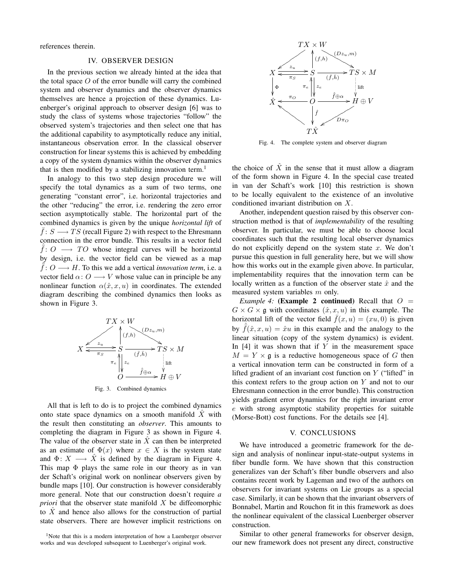references therein.

# IV. OBSERVER DESIGN

In the previous section we already hinted at the idea that the total space  $O$  of the error bundle will carry the combined system and observer dynamics and the observer dynamics themselves are hence a projection of these dynamics. Luenberger's original approach to observer design [6] was to study the class of systems whose trajectories "follow" the observed system's trajectories and then select one that has the additional capability to asymptotically reduce any initial, instantaneous observation error. In the classical observer construction for linear systems this is achieved by embedding a copy of the system dynamics within the observer dynamics that is then modified by a stabilizing innovation term.<sup>1</sup>

In analogy to this two step design procedure we will specify the total dynamics as a sum of two terms, one generating "constant error", i.e. horizontal trajectories and the other "reducing" the error, i.e. rendering the zero error section asymptotically stable. The horizontal part of the combined dynamics is given by the unique *horizontal lift* of  $\bar{f}: S \longrightarrow TS$  (recall Figure 2) with respect to the Ehresmann connection in the error bundle. This results in a vector field  $\overline{f}$ :  $\overline{O}$   $\longrightarrow$   $\overline{TO}$  whose integral curves will be horizontal by design, i.e. the vector field can be viewed as a map  $\bar{f}: O \longrightarrow H$ . To this we add a vertical *innovation term*, i.e. a vector field  $\alpha: O \longrightarrow V$  whose value can in principle be any nonlinear function  $\alpha(\hat{x}, x, u)$  in coordinates. The extended diagram describing the combined dynamics then looks as shown in Figure 3.



Fig. 3. Combined dynamics

All that is left to do is to project the combined dynamics onto state space dynamics on a smooth manifold  $\hat{X}$  with the result then constituting an *observer*. This amounts to completing the diagram in Figure 3 as shown in Figure 4. The value of the observer state in  $\hat{X}$  can then be interpreted as an estimate of  $\Phi(x)$  where  $x \in X$  is the system state and  $\Phi: X \longrightarrow \hat{X}$  is defined by the diagram in Figure 4. This map  $\Phi$  plays the same role in our theory as in van der Schaft's original work on nonlinear observers given by bundle maps [10]. Our construction is however considerably more general. Note that our construction doesn't require *a priori* that the observer state manifold X be diffeomorphic to  $X$  and hence also allows for the construction of partial state observers. There are however implicit restrictions on



Fig. 4. The complete system and observer diagram

the choice of  $\hat{X}$  in the sense that it must allow a diagram of the form shown in Figure 4. In the special case treated in van der Schaft's work [10] this restriction is shown to be locally equivalent to the existence of an involutive conditioned invariant distribution on X.

Another, independent question raised by this observer construction method is that of *implementability* of the resulting observer. In particular, we must be able to choose local coordinates such that the resulting local observer dynamics do not explicitly depend on the system state  $x$ . We don't pursue this question in full generality here, but we will show how this works out in the example given above. In particular, implementability requires that the innovation term can be locally written as a function of the observer state  $\hat{x}$  and the measured system variables m only.

*Example 4:* (**Example 2 continued**) Recall that  $O =$  $G \times G \times \mathfrak{g}$  with coordinates  $(\hat{x}, x, u)$  in this example. The horizontal lift of the vector field  $\bar{f}(x, u) = (xu, 0)$  is given by  $\bar{f}(\hat{x}, x, u) = \hat{x}u$  in this example and the analogy to the linear situation (copy of the system dynamics) is evident. In  $[4]$  it was shown that if Y in the measurement space  $M = Y \times \mathfrak{g}$  is a reductive homogeneous space of G then a vertical innovation term can be constructed in form of a lifted gradient of an invariant cost function on  $Y$  ("lifted" in this context refers to the group action on  $Y$  and not to our Ehresmann connection in the error bundle). This construction yields gradient error dynamics for the right invariant error e with strong asymptotic stability properties for suitable (Morse-Bott) cost functions. For the details see [4].

## V. CONCLUSIONS

We have introduced a geometric framework for the design and analysis of nonlinear input-state-output systems in fiber bundle form. We have shown that this construction generalizes van der Schaft's fiber bundle observers and also contains recent work by Lageman and two of the authors on observers for invariant systems on Lie groups as a special case. Similarly, it can be shown that the invariant observers of Bonnabel, Martin and Rouchon fit in this framework as does the nonlinear equivalent of the classical Luenberger observer construction.

Similar to other general frameworks for observer design, our new framework does not present any direct, constructive

<sup>&</sup>lt;sup>1</sup>Note that this is a modern interpretation of how a Luenberger observer works and was developed subsequent to Luenberger's original work.